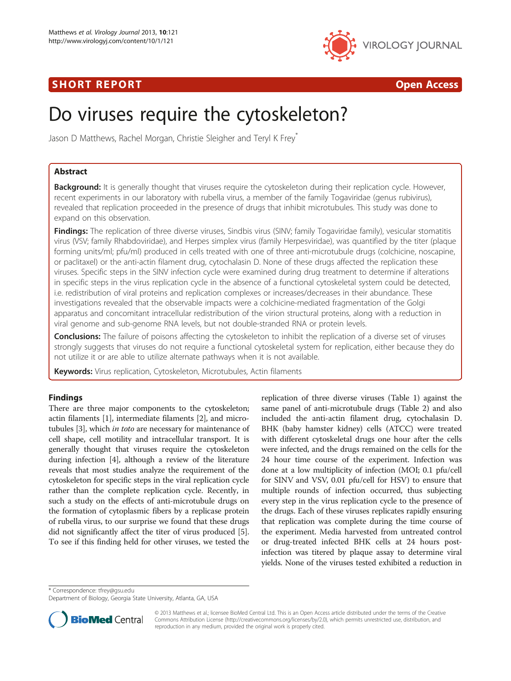## SHORT REPORT AND RESERVE THE SHORT CONTROL CONTROL CONTROL CONTROL CONTROL CONTROL CONTROL CONTROL CONTROL CONTROL CONTROL CONTROL CONTROL CONTROL CONTROL CONTROL CONTROL CONTROL CONTROL CONTROL CONTROL CONTROL CONTROL CON



# Do viruses require the cytoskeleton?

Jason D Matthews, Rachel Morgan, Christie Sleigher and Teryl K Frey

## Abstract

Background: It is generally thought that viruses require the cytoskeleton during their replication cycle. However, recent experiments in our laboratory with rubella virus, a member of the family Togaviridae (genus rubivirus), revealed that replication proceeded in the presence of drugs that inhibit microtubules. This study was done to expand on this observation.

Findings: The replication of three diverse viruses, Sindbis virus (SINV; family Togaviridae family), vesicular stomatitis virus (VSV; family Rhabdoviridae), and Herpes simplex virus (family Herpesviridae), was quantified by the titer (plaque forming units/ml; pfu/ml) produced in cells treated with one of three anti-microtubule drugs (colchicine, noscapine, or paclitaxel) or the anti-actin filament drug, cytochalasin D. None of these drugs affected the replication these viruses. Specific steps in the SINV infection cycle were examined during drug treatment to determine if alterations in specific steps in the virus replication cycle in the absence of a functional cytoskeletal system could be detected, i.e. redistribution of viral proteins and replication complexes or increases/decreases in their abundance. These investigations revealed that the observable impacts were a colchicine-mediated fragmentation of the Golgi apparatus and concomitant intracellular redistribution of the virion structural proteins, along with a reduction in viral genome and sub-genome RNA levels, but not double-stranded RNA or protein levels.

**Conclusions:** The failure of poisons affecting the cytoskeleton to inhibit the replication of a diverse set of viruses strongly suggests that viruses do not require a functional cytoskeletal system for replication, either because they do not utilize it or are able to utilize alternate pathways when it is not available.

Keywords: Virus replication, Cytoskeleton, Microtubules, Actin filaments

### Findings

There are three major components to the cytoskeleton; actin filaments [\[1](#page-4-0)], intermediate filaments [\[2](#page-4-0)], and microtubules [[3](#page-4-0)], which in toto are necessary for maintenance of cell shape, cell motility and intracellular transport. It is generally thought that viruses require the cytoskeleton during infection [[4](#page-4-0)], although a review of the literature reveals that most studies analyze the requirement of the cytoskeleton for specific steps in the viral replication cycle rather than the complete replication cycle. Recently, in such a study on the effects of anti-microtubule drugs on the formation of cytoplasmic fibers by a replicase protein of rubella virus, to our surprise we found that these drugs did not significantly affect the titer of virus produced [[5](#page-4-0)]. To see if this finding held for other viruses, we tested the

replication of three diverse viruses (Table [1](#page-1-0)) against the same panel of anti-microtubule drugs (Table [2](#page-1-0)) and also included the anti-actin filament drug, cytochalasin D. BHK (baby hamster kidney) cells (ATCC) were treated with different cytoskeletal drugs one hour after the cells were infected, and the drugs remained on the cells for the 24 hour time course of the experiment. Infection was done at a low multiplicity of infection (MOI; 0.1 pfu/cell for SINV and VSV, 0.01 pfu/cell for HSV) to ensure that multiple rounds of infection occurred, thus subjecting every step in the virus replication cycle to the presence of the drugs. Each of these viruses replicates rapidly ensuring that replication was complete during the time course of the experiment. Media harvested from untreated control or drug-treated infected BHK cells at 24 hours postinfection was titered by plaque assay to determine viral yields. None of the viruses tested exhibited a reduction in

\* Correspondence: [tfrey@gsu.edu](mailto:tfrey@gsu.edu)

Department of Biology, Georgia State University, Atlanta, GA, USA



© 2013 Matthews et al.; licensee BioMed Central Ltd. This is an Open Access article distributed under the terms of the Creative Commons Attribution License [\(http://creativecommons.org/licenses/by/2.0\)](http://creativecommons.org/licenses/by/2.0), which permits unrestricted use, distribution, and reproduction in any medium, provided the original work is properly cited.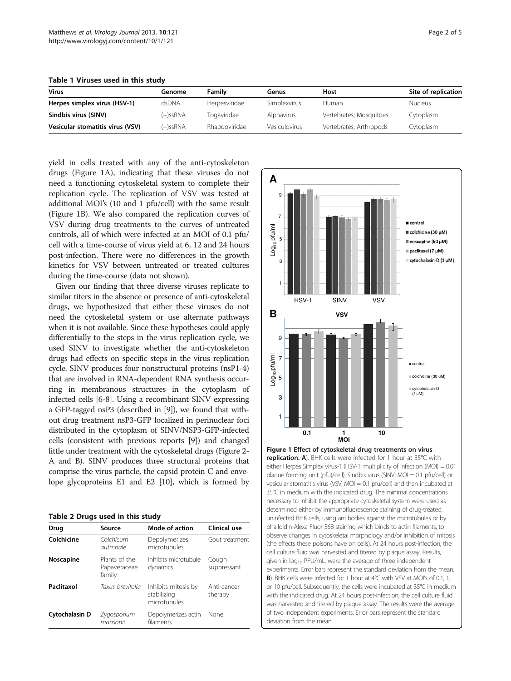<span id="page-1-0"></span>Table 1 Viruses used in this study

| <b>Virus</b>                     | Genome      | Family        | Genus                | Host                    | Site of replication |
|----------------------------------|-------------|---------------|----------------------|-------------------------|---------------------|
| Herpes simplex virus (HSV-1)     | dsDNA       | Herpesviridae | Simplexvirus         | Human                   | <b>Nucleus</b>      |
| Sindbis virus (SINV)             | $(+)$ ssRNA | Togaviridae   | Alphavirus           | Vertebrates; Mosquitoes | Cytoplasm           |
| Vesicular stomatitis virus (VSV) | (–)ssRNA    | Rhabdoviridae | <b>Vesiculovirus</b> | Vertebrates; Arthropods | Cytoplasm           |

yield in cells treated with any of the anti-cytoskeleton drugs (Figure 1A), indicating that these viruses do not need a functioning cytoskeletal system to complete their replication cycle. The replication of VSV was tested at additional MOI's (10 and 1 pfu/cell) with the same result (Figure 1B). We also compared the replication curves of VSV during drug treatments to the curves of untreated controls, all of which were infected at an MOI of 0.1 pfu/ cell with a time-course of virus yield at 6, 12 and 24 hours post-infection. There were no differences in the growth kinetics for VSV between untreated or treated cultures during the time-course (data not shown).

Given our finding that three diverse viruses replicate to similar titers in the absence or presence of anti-cytoskeletal drugs, we hypothesized that either these viruses do not need the cytoskeletal system or use alternate pathways when it is not available. Since these hypotheses could apply differentially to the steps in the virus replication cycle, we used SINV to investigate whether the anti-cytoskeleton drugs had effects on specific steps in the virus replication cycle. SINV produces four nonstructural proteins (nsP1-4) that are involved in RNA-dependent RNA synthesis occurring in membranous structures in the cytoplasm of infected cells [[6-8\]](#page-4-0). Using a recombinant SINV expressing a GFP-tagged nsP3 (described in [\[9\]](#page-4-0)), we found that without drug treatment nsP3-GFP localized in perinuclear foci distributed in the cytoplasm of SINV/NSP3-GFP-infected cells (consistent with previous reports [\[9](#page-4-0)]) and changed little under treatment with the cytoskeletal drugs (Figure [2-](#page-2-0) A and B). SINV produces three structural proteins that comprise the virus particle, the capsid protein C and envelope glycoproteins E1 and E2 [[10\]](#page-4-0), which is formed by

| Drug           | Source                                  | Mode of action                                     | Clinical use           |
|----------------|-----------------------------------------|----------------------------------------------------|------------------------|
| Colchicine     | Colchicum<br>autmnale                   | Depolymerizes<br>microtubules                      | Gout treatment         |
| Noscapine      | Plants of the<br>Papaveraceae<br>family | Inhibits microtubule<br>dynamics                   | Cough<br>suppressant   |
| Paclitaxol     | Taxus brevifolia                        | Inhibits mitosis by<br>stabilizing<br>microtubules | Anti-cancer<br>therapy |
| Cytochalasin D | Zygosporium<br>mansonii                 | Depolymerizes actin<br>filaments                   | None                   |



replication. A). BHK cells were infected for 1 hour at 35°C with either Herpes Simplex virus-1 (HSV-1; multiplicity of infection (MOI) = 0.01 plaque forming unit (pfu)/cell), Sindbis virus (SINV; MOI = 0.1 pfu/cell) or vesicular stomatitis virus (VSV; MOI = 0.1 pfu/cell) and then incubated at 35°C in medium with the indicated drug. The minimal concentrations necessary to inhibit the appropriate cytoskeletal system were used as determined either by immunofluorescence staining of drug-treated, uninfected BHK cells, using antibodies against the microtubules or by phalloidin-Alexa Fluor 568 staining which binds to actin filaments, to observe changes in cytoskeletal morphology and/or inhibition of mitosis (the effects these poisons have on cells). At 24 hours post-infection, the cell culture fluid was harvested and titered by plaque assay. Results, given in  $log_{10}$  PFU/mL, were the average of three independent experiments. Error bars represent the standard deviation from the mean. B). BHK cells were infected for 1 hour at 4°C with VSV at MOI's of 0.1, 1, or 10 pfu/cell. Subsequently, the cells were incubated at 35°C in medium with the indicated drug. At 24 hours post-infection, the cell culture fluid was harvested and titered by plaque assay. The results were the average of two independent experiments. Error bars represent the standard deviation from the mean.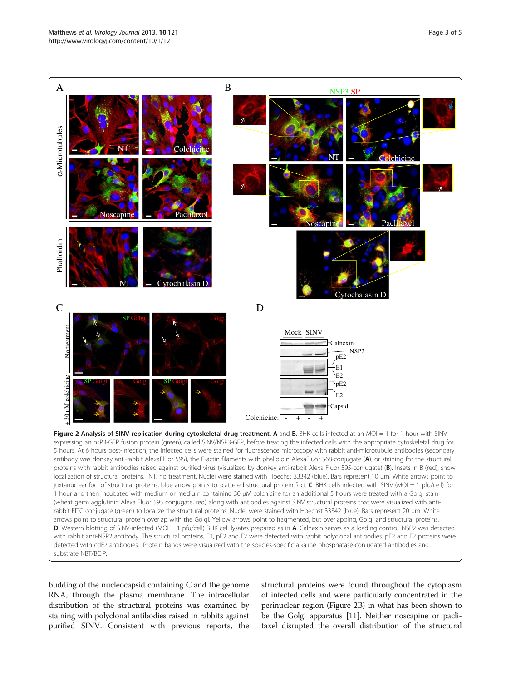<span id="page-2-0"></span>

with rabbit anti-NSP2 antibody. The structural proteins, E1, pE2 and E2 were detected with rabbit polyclonal antibodies. pE2 and E2 proteins were detected with cdE2 antibodies. Protein bands were visualized with the species-specific alkaline phosphatase-conjugated antibodies and substrate NBT/BCIP.

budding of the nucleocapsid containing C and the genome RNA, through the plasma membrane. The intracellular distribution of the structural proteins was examined by staining with polyclonal antibodies raised in rabbits against purified SINV. Consistent with previous reports, the

structural proteins were found throughout the cytoplasm of infected cells and were particularly concentrated in the perinuclear region (Figure 2B) in what has been shown to be the Golgi apparatus [[11](#page-4-0)]. Neither noscapine or paclitaxel disrupted the overall distribution of the structural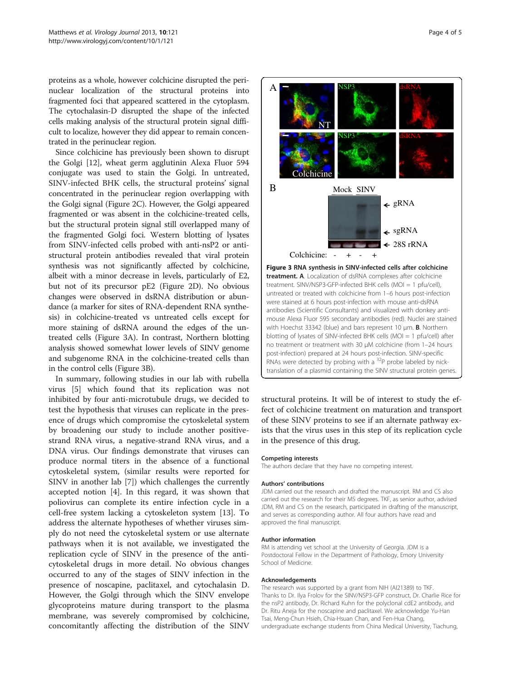proteins as a whole, however colchicine disrupted the perinuclear localization of the structural proteins into fragmented foci that appeared scattered in the cytoplasm. The cytochalasin-D disrupted the shape of the infected cells making analysis of the structural protein signal difficult to localize, however they did appear to remain concentrated in the perinuclear region.

Since colchicine has previously been shown to disrupt the Golgi [[12](#page-4-0)], wheat germ agglutinin Alexa Fluor 594 conjugate was used to stain the Golgi. In untreated, SINV-infected BHK cells, the structural proteins' signal concentrated in the perinuclear region overlapping with the Golgi signal (Figure [2C](#page-2-0)). However, the Golgi appeared fragmented or was absent in the colchicine-treated cells, but the structural protein signal still overlapped many of the fragmented Golgi foci. Western blotting of lysates from SINV-infected cells probed with anti-nsP2 or antistructural protein antibodies revealed that viral protein synthesis was not significantly affected by colchicine, albeit with a minor decrease in levels, particularly of E2, but not of its precursor pE2 (Figure [2](#page-2-0)D). No obvious changes were observed in dsRNA distribution or abundance (a marker for sites of RNA-dependent RNA synthesis) in colchicine-treated vs untreated cells except for more staining of dsRNA around the edges of the untreated cells (Figure 3A). In contrast, Northern blotting analysis showed somewhat lower levels of SINV genome and subgenome RNA in the colchicine-treated cells than in the control cells (Figure 3B).

In summary, following studies in our lab with rubella virus [[5\]](#page-4-0) which found that its replication was not inhibited by four anti-microtubule drugs, we decided to test the hypothesis that viruses can replicate in the presence of drugs which compromise the cytoskeletal system by broadening our study to include another positivestrand RNA virus, a negative-strand RNA virus, and a DNA virus. Our findings demonstrate that viruses can produce normal titers in the absence of a functional cytoskeletal system, (similar results were reported for SINV in another lab [[7](#page-4-0)]) which challenges the currently accepted notion [[4\]](#page-4-0). In this regard, it was shown that poliovirus can complete its entire infection cycle in a cell-free system lacking a cytoskeleton system [\[13](#page-4-0)]. To address the alternate hypotheses of whether viruses simply do not need the cytoskeletal system or use alternate pathways when it is not available, we investigated the replication cycle of SINV in the presence of the anticytoskeletal drugs in more detail. No obvious changes occurred to any of the stages of SINV infection in the presence of noscapine, paclitaxel, and cytochalasin D. However, the Golgi through which the SINV envelope glycoproteins mature during transport to the plasma membrane, was severely compromised by colchicine, concomitantly affecting the distribution of the SINV



structural proteins. It will be of interest to study the effect of colchicine treatment on maturation and transport of these SINV proteins to see if an alternate pathway exists that the virus uses in this step of its replication cycle in the presence of this drug.

#### Competing interests

The authors declare that they have no competing interest.

#### Authors' contributions

JDM carried out the research and drafted the manuscript. RM and CS also carried out the research for their MS degrees. TKF, as senior author, advised JDM, RM and CS on the research, participated in drafting of the manuscript, and serves as corresponding author. All four authors have read and approved the final manuscript.

#### Author information

RM is attending vet school at the University of Georgia. JDM is a Postdoctoral Fellow in the Department of Pathology, Emory University School of Medicine.

#### Acknowledgements

The research was supported by a grant from NIH (AI21389) to TKF. Thanks to Dr. Ilya Frolov for the SINV/NSP3-GFP construct, Dr. Charlie Rice for the nsP2 antibody, Dr. Richard Kuhn for the polyclonal cdE2 antibody, and Dr. Ritu Aneja for the noscapine and paclitaxel. We acknowledge Yu-Han Tsai, Meng-Chun Hsieh, Chia-Hsuan Chan, and Fen-Hua Chang, undergraduate exchange students from China Medical University, Tiachung,